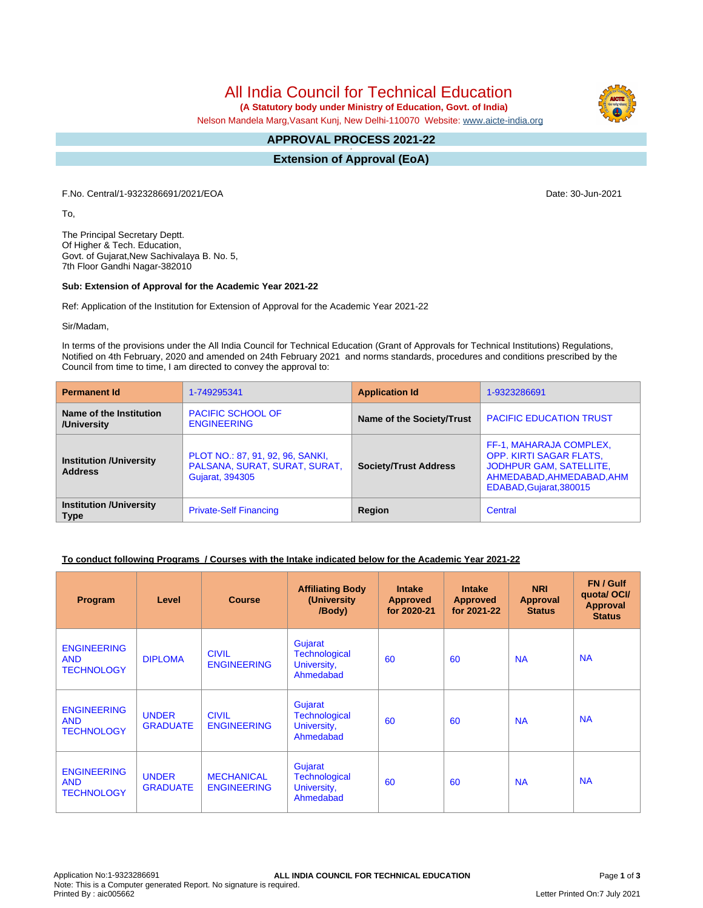All India Council for Technical Education

 **(A Statutory body under Ministry of Education, Govt. of India)**

Nelson Mandela Marg,Vasant Kunj, New Delhi-110070 Website: [www.aicte-india.org](http://www.aicte-india.org)

#### **APPROVAL PROCESS 2021-22 -**

**Extension of Approval (EoA)**

F.No. Central/1-9323286691/2021/EOA Date: 30-Jun-2021

To,

The Principal Secretary Deptt. Of Higher & Tech. Education, Govt. of Gujarat,New Sachivalaya B. No. 5, 7th Floor Gandhi Nagar-382010

#### **Sub: Extension of Approval for the Academic Year 2021-22**

Ref: Application of the Institution for Extension of Approval for the Academic Year 2021-22

Sir/Madam,

In terms of the provisions under the All India Council for Technical Education (Grant of Approvals for Technical Institutions) Regulations, Notified on 4th February, 2020 and amended on 24th February 2021 and norms standards, procedures and conditions prescribed by the Council from time to time, I am directed to convey the approval to:

| <b>Permanent Id</b>                              | 1-749295341                                                                                 | <b>Application Id</b>        | 1-9323286691                                                                                                                          |  |
|--------------------------------------------------|---------------------------------------------------------------------------------------------|------------------------------|---------------------------------------------------------------------------------------------------------------------------------------|--|
| Name of the Institution<br>/University           | <b>PACIFIC SCHOOL OF</b><br><b>ENGINEERING</b>                                              | Name of the Society/Trust    | <b>PACIFIC EDUCATION TRUST</b>                                                                                                        |  |
| <b>Institution /University</b><br><b>Address</b> | PLOT NO.: 87, 91, 92, 96, SANKI,<br>PALSANA, SURAT, SURAT, SURAT,<br><b>Gujarat, 394305</b> | <b>Society/Trust Address</b> | FF-1, MAHARAJA COMPLEX,<br>OPP. KIRTI SAGAR FLATS,<br>JODHPUR GAM, SATELLITE,<br>AHMEDABAD, AHMEDABAD, AHM<br>EDABAD, Gujarat, 380015 |  |
| <b>Institution /University</b><br><b>Type</b>    | <b>Private-Self Financing</b>                                                               | Region                       | Central                                                                                                                               |  |

## **To conduct following Programs / Courses with the Intake indicated below for the Academic Year 2021-22**

| Program                                               | Level                           | <b>Course</b>                           | <b>Affiliating Body</b><br>(University<br>/Body)            | <b>Intake</b><br><b>Approved</b><br>for 2020-21 | <b>Intake</b><br><b>Approved</b><br>for 2021-22 | <b>NRI</b><br>Approval<br><b>Status</b> | FN / Gulf<br>quotal OCI/<br><b>Approval</b><br><b>Status</b> |
|-------------------------------------------------------|---------------------------------|-----------------------------------------|-------------------------------------------------------------|-------------------------------------------------|-------------------------------------------------|-----------------------------------------|--------------------------------------------------------------|
| <b>ENGINEERING</b><br><b>AND</b><br><b>TECHNOLOGY</b> | <b>DIPLOMA</b>                  | <b>CIVIL</b><br><b>ENGINEERING</b>      | Gujarat<br><b>Technological</b><br>University,<br>Ahmedabad | 60                                              | 60                                              | <b>NA</b>                               | <b>NA</b>                                                    |
| <b>ENGINEERING</b><br><b>AND</b><br><b>TECHNOLOGY</b> | <b>UNDER</b><br><b>GRADUATE</b> | <b>CIVIL</b><br><b>ENGINEERING</b>      | Gujarat<br><b>Technological</b><br>University,<br>Ahmedabad | 60                                              | 60                                              | <b>NA</b>                               | <b>NA</b>                                                    |
| <b>ENGINEERING</b><br><b>AND</b><br><b>TECHNOLOGY</b> | <b>UNDER</b><br><b>GRADUATE</b> | <b>MECHANICAL</b><br><b>ENGINEERING</b> | Gujarat<br><b>Technological</b><br>University,<br>Ahmedabad | 60                                              | 60                                              | <b>NA</b>                               | <b>NA</b>                                                    |

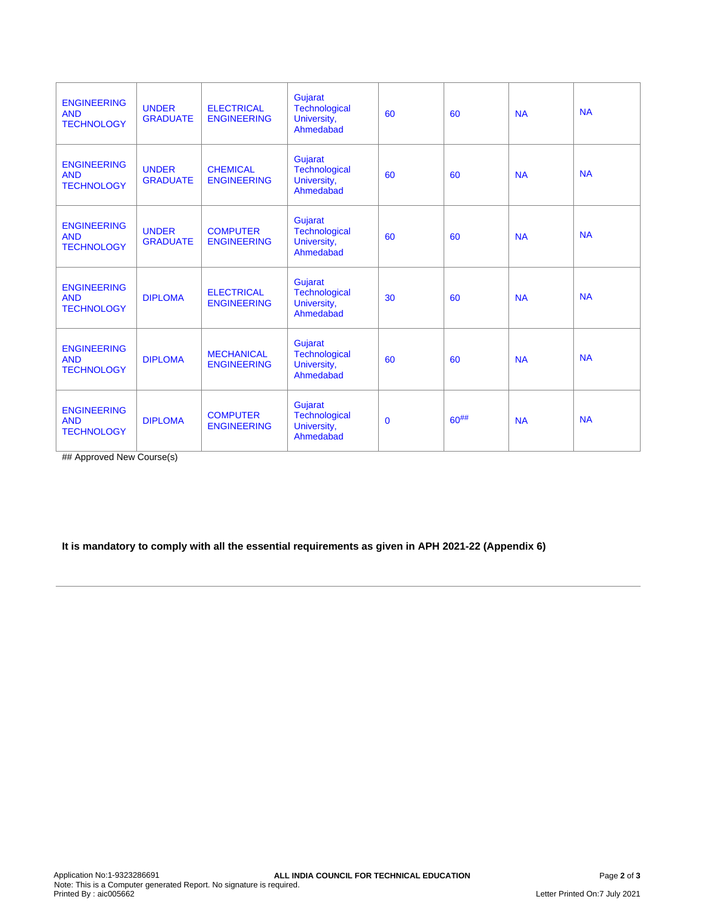| <b>ENGINEERING</b><br><b>AND</b><br><b>TECHNOLOGY</b> | <b>UNDER</b><br><b>GRADUATE</b> | <b>ELECTRICAL</b><br><b>ENGINEERING</b> | Gujarat<br>Technological<br>University,<br>Ahmedabad        | 60          | 60         | <b>NA</b> | <b>NA</b> |
|-------------------------------------------------------|---------------------------------|-----------------------------------------|-------------------------------------------------------------|-------------|------------|-----------|-----------|
| <b>ENGINEERING</b><br><b>AND</b><br><b>TECHNOLOGY</b> | <b>UNDER</b><br><b>GRADUATE</b> | <b>CHEMICAL</b><br><b>ENGINEERING</b>   | Gujarat<br>Technological<br>University,<br>Ahmedabad        | 60          | 60         | <b>NA</b> | <b>NA</b> |
| <b>ENGINEERING</b><br><b>AND</b><br><b>TECHNOLOGY</b> | <b>UNDER</b><br><b>GRADUATE</b> | <b>COMPUTER</b><br><b>ENGINEERING</b>   | Gujarat<br>Technological<br>University,<br>Ahmedabad        | 60          | 60         | <b>NA</b> | <b>NA</b> |
| <b>ENGINEERING</b><br><b>AND</b><br><b>TECHNOLOGY</b> | <b>DIPLOMA</b>                  | <b>ELECTRICAL</b><br><b>ENGINEERING</b> | Gujarat<br>Technological<br>University,<br>Ahmedabad        | 30          | 60         | <b>NA</b> | <b>NA</b> |
| <b>ENGINEERING</b><br><b>AND</b><br><b>TECHNOLOGY</b> | <b>DIPLOMA</b>                  | <b>MECHANICAL</b><br><b>ENGINEERING</b> | Gujarat<br><b>Technological</b><br>University,<br>Ahmedabad | 60          | 60         | <b>NA</b> | <b>NA</b> |
| <b>ENGINEERING</b><br><b>AND</b><br><b>TECHNOLOGY</b> | <b>DIPLOMA</b>                  | <b>COMPUTER</b><br><b>ENGINEERING</b>   | Gujarat<br><b>Technological</b><br>University,<br>Ahmedabad | $\mathbf 0$ | $60^{#}\%$ | <b>NA</b> | <b>NA</b> |

## Approved New Course(s)

# **It is mandatory to comply with all the essential requirements as given in APH 2021-22 (Appendix 6)**